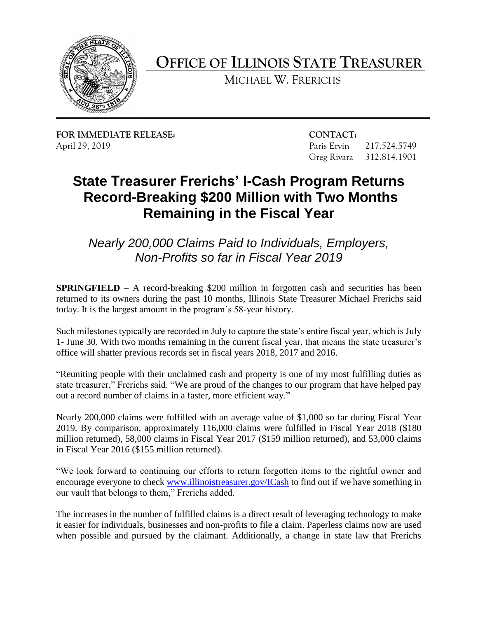

**OFFICE OF ILLINOIS STATE TREASURER** 

MICHAEL W. FRERICHS

**FOR IMMEDIATE RELEASE: CONTACT:** 

217.524.5749 April 29, 2019 Paris Ervin 217.524.5749<br>Greg Rivara 312.814.1901

## **State Treasurer Frerichs' I-Cash Program Returns Record-Breaking \$200 Million with Two Months Remaining in the Fiscal Year**

*Nearly 200,000 Claims Paid to Individuals, Employers, Non-Profits so far in Fiscal Year 2019* 

**SPRINGFIELD** – A record-breaking \$200 million in forgotten cash and securities has been returned to its owners during the past 10 months, Illinois State Treasurer Michael Frerichs said today. It is the largest amount in the program's 58-year history.

 Such milestones typically are recorded in July to capture the state's entire fiscal year, which is July 1- June 30. With two months remaining in the current fiscal year, that means the state treasurer's office will shatter previous records set in fiscal years 2018, 2017 and 2016.

 "Reuniting people with their unclaimed cash and property is one of my most fulfilling duties as state treasurer," Frerichs said. "We are proud of the changes to our program that have helped pay out a record number of claims in a faster, more efficient way."

 Nearly 200,000 claims were fulfilled with an average value of \$1,000 so far during Fiscal Year 2019. By comparison, approximately 116,000 claims were fulfilled in Fiscal Year 2018 (\$180 million returned), 58,000 claims in Fiscal Year 2017 (\$159 million returned), and 53,000 claims in Fiscal Year 2016 (\$155 million returned).

encourage everyone to check [www.illinoistreasurer.gov/ICash](http://www.illinoistreasurer.gov/ICash) to find out if we have something in "We look forward to continuing our efforts to return forgotten items to the rightful owner and our vault that belongs to them," Frerichs added.

 it easier for individuals, businesses and non-profits to file a claim. Paperless claims now are used when possible and pursued by the claimant. Additionally, a change in state law that Frerichs The increases in the number of fulfilled claims is a direct result of leveraging technology to make